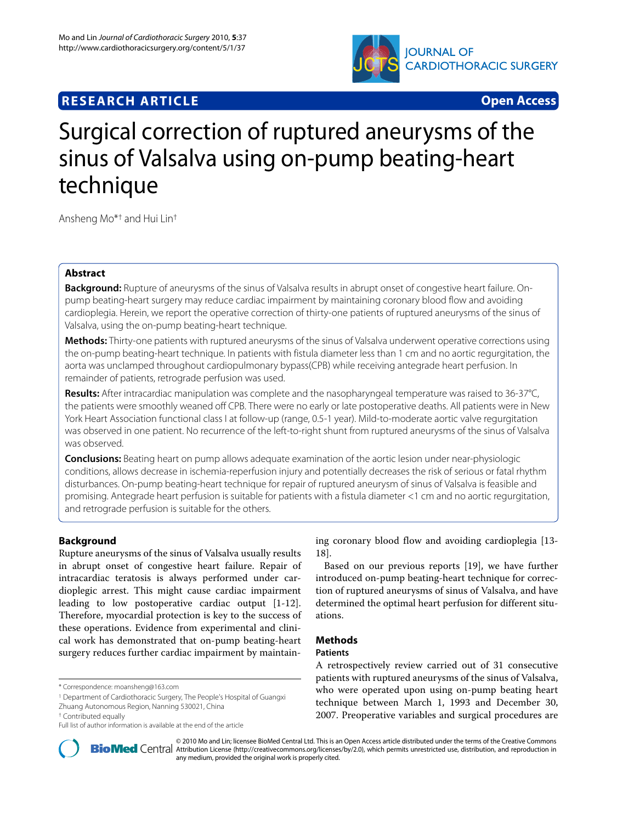

## **RESEARCH ARTICLE Open Access**

# Surgical correction of ruptured aneurysms of the sinus of Valsalva using on-pump beating-heart technique

Ansheng Mo\*† and Hui Lin†

## **Abstract**

**Background:** Rupture of aneurysms of the sinus of Valsalva results in abrupt onset of congestive heart failure. Onpump beating-heart surgery may reduce cardiac impairment by maintaining coronary blood flow and avoiding cardioplegia. Herein, we report the operative correction of thirty-one patients of ruptured aneurysms of the sinus of Valsalva, using the on-pump beating-heart technique.

**Methods:** Thirty-one patients with ruptured aneurysms of the sinus of Valsalva underwent operative corrections using the on-pump beating-heart technique. In patients with fistula diameter less than 1 cm and no aortic regurgitation, the aorta was unclamped throughout cardiopulmonary bypass(CPB) while receiving antegrade heart perfusion. In remainder of patients, retrograde perfusion was used.

**Results:** After intracardiac manipulation was complete and the nasopharyngeal temperature was raised to 36-37°C, the patients were smoothly weaned off CPB. There were no early or late postoperative deaths. All patients were in New York Heart Association functional class I at follow-up (range, 0.5-1 year). Mild-to-moderate aortic valve regurgitation was observed in one patient. No recurrence of the left-to-right shunt from ruptured aneurysms of the sinus of Valsalva was observed.

**Conclusions:** Beating heart on pump allows adequate examination of the aortic lesion under near-physiologic conditions, allows decrease in ischemia-reperfusion injury and potentially decreases the risk of serious or fatal rhythm disturbances. On-pump beating-heart technique for repair of ruptured aneurysm of sinus of Valsalva is feasible and promising. Antegrade heart perfusion is suitable for patients with a fistula diameter <1 cm and no aortic regurgitation, and retrograde perfusion is suitable for the others.

## **Background**

Rupture aneurysms of the sinus of Valsalva usually results in abrupt onset of congestive heart failure. Repair of intracardiac teratosis is always performed under cardioplegic arrest. This might cause cardiac impairment leading to low postoperative cardiac output [[1-](#page-3-0)[12](#page-3-1)]. Therefore, myocardial protection is key to the success of these operations. Evidence from experimental and clinical work has demonstrated that on-pump beating-heart surgery reduces further cardiac impairment by maintaining coronary blood flow and avoiding cardioplegia [\[13](#page-3-2)- [18\]](#page-3-3).

Based on our previous reports [\[19](#page-3-4)], we have further introduced on-pump beating-heart technique for correction of ruptured aneurysms of sinus of Valsalva, and have determined the optimal heart perfusion for different situations.

## **Methods**

## **Patients**

A retrospectively review carried out of 31 consecutive patients with ruptured aneurysms of the sinus of Valsalva, who were operated upon using on-pump beating heart technique between March 1, 1993 and December 30, 2007. Preoperative variables and surgical procedures are



2010 Mo and Lin; licensee [BioMed](http://www.biomedcentral.com/) Central Ltd. This is an Open Access article distributed under the terms of the Creative Commons (http://creativecommons.org/licenses/by/2.0), which permits unrestricted use, distribution, a any medium, provided the original work is properly cited.

<sup>\*</sup> Correspondence: moansheng@163.com

<sup>1</sup> Department of Cardiothoracic Surgery, The People's Hospital of Guangxi Zhuang Autonomous Region, Nanning 530021, China

<sup>†</sup> Contributed equally

Full list of author information is available at the end of the article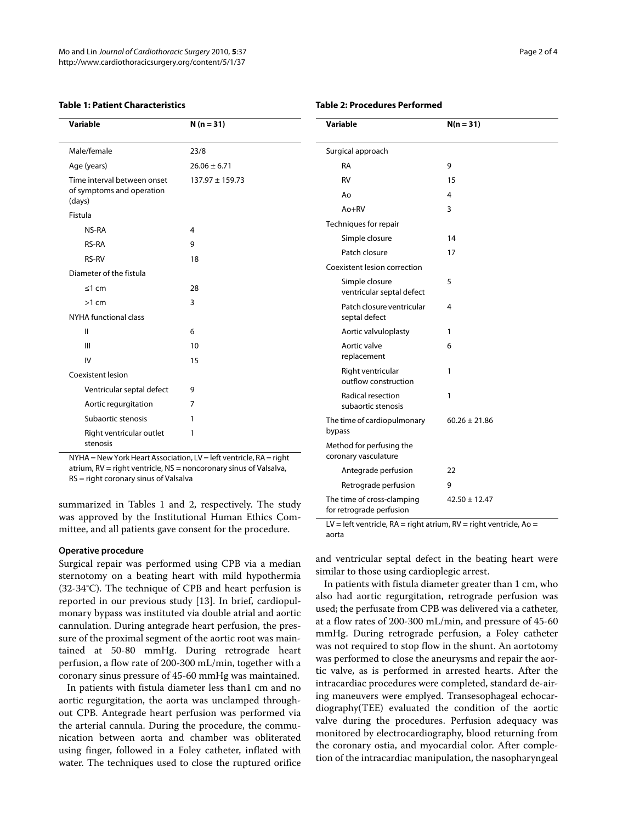## **Table 1: Patient Characteristics**

| Variable                            | $N(n = 31)$         | <b>Variable</b>                             |
|-------------------------------------|---------------------|---------------------------------------------|
| Male/female                         | 23/8                | Surgical approach                           |
| Age (years)                         | $26.06 \pm 6.71$    | <b>RA</b>                                   |
| Time interval between onset         | $137.97 \pm 159.73$ | <b>RV</b>                                   |
| of symptoms and operation<br>(days) |                     | Ao                                          |
| Fistula                             |                     | $Ao+RV$                                     |
| NS-RA                               | 4                   | Techniques for repair                       |
| RS-RA                               | 9                   | Simple closure                              |
| <b>RS-RV</b>                        | 18                  | Patch closure                               |
| Diameter of the fistula             |                     | Coexistent lesion correction                |
| $\leq$ 1 cm                         | 28                  | Simple closure<br>ventricular septal defect |
| $>1$ cm<br>NYHA functional class    | 3                   | Patch closure ventricular                   |
|                                     |                     | septal defect                               |
| Ш                                   | 6                   | Aortic valvuloplasty                        |
| Ш                                   | 10                  | Aortic valve<br>replacement                 |
| IV                                  | 15                  |                                             |
| Coexistent lesion                   |                     | Right ventricular<br>outflow construction   |
| Ventricular septal defect           | 9                   | Radical resection                           |
| Aortic regurgitation                | 7                   | subaortic stenosis                          |
| Subaortic stenosis                  | 1                   | The time of cardiopulmonary                 |
| Right ventricular outlet            | 1                   | bypass                                      |
| stenosis                            |                     | Method for perfusing the                    |

NYHA = New York Heart Association, LV = left ventricle, RA = right atrium, RV = right ventricle, NS = noncoronary sinus of Valsalva, RS = right coronary sinus of Valsalva

summarized in Tables 1 and 2, respectively. The study was approved by the Institutional Human Ethics Committee, and all patients gave consent for the procedure.

### **Operative procedure**

Surgical repair was performed using CPB via a median sternotomy on a beating heart with mild hypothermia (32-34°C). The technique of CPB and heart perfusion is reported in our previous study [\[13](#page-3-2)]. In brief, cardiopulmonary bypass was instituted via double atrial and aortic cannulation. During antegrade heart perfusion, the pressure of the proximal segment of the aortic root was maintained at 50-80 mmHg. During retrograde heart perfusion, a flow rate of 200-300 mL/min, together with a coronary sinus pressure of 45-60 mmHg was maintained.

In patients with fistula diameter less than1 cm and no aortic regurgitation, the aorta was unclamped throughout CPB. Antegrade heart perfusion was performed via the arterial cannula. During the procedure, the communication between aorta and chamber was obliterated using finger, followed in a Foley catheter, inflated with water. The techniques used to close the ruptured orifice

| Surgical approach                                      |                   |  |  |
|--------------------------------------------------------|-------------------|--|--|
| RA                                                     | 9                 |  |  |
| <b>RV</b>                                              | 15                |  |  |
| Ao                                                     | 4                 |  |  |
| $Ao+RV$                                                | 3                 |  |  |
| Techniques for repair                                  |                   |  |  |
| Simple closure                                         | 14                |  |  |
| Patch closure                                          | 17                |  |  |
| Coexistent lesion correction                           |                   |  |  |
| Simple closure<br>ventricular septal defect            | 5                 |  |  |
| Patch closure ventricular<br>septal defect             | 4                 |  |  |
| Aortic valvuloplasty                                   | 1                 |  |  |
| Aortic valve<br>replacement                            | 6                 |  |  |
| Right ventricular<br>outflow construction              | 1                 |  |  |
| Radical resection<br>subaortic stenosis                | 1                 |  |  |
| The time of cardiopulmonary<br>bypass                  | $60.26 \pm 21.86$ |  |  |
| Method for perfusing the<br>coronary vasculature       |                   |  |  |
| Antegrade perfusion                                    | 22                |  |  |
| Retrograde perfusion                                   | 9                 |  |  |
| The time of cross-clamping<br>for retrograde perfusion | $42.50 \pm 12.47$ |  |  |

 $N(n = 31)$ 

LV = left ventricle,  $RA =$  right atrium,  $RV =$  right ventricle,  $Ao =$ aorta

and ventricular septal defect in the beating heart were similar to those using cardioplegic arrest.

In patients with fistula diameter greater than 1 cm, who also had aortic regurgitation, retrograde perfusion was used; the perfusate from CPB was delivered via a catheter, at a flow rates of 200-300 mL/min, and pressure of 45-60 mmHg. During retrograde perfusion, a Foley catheter was not required to stop flow in the shunt. An aortotomy was performed to close the aneurysms and repair the aortic valve, as is performed in arrested hearts. After the intracardiac procedures were completed, standard de-airing maneuvers were emplyed. Transesophageal echocardiography(TEE) evaluated the condition of the aortic valve during the procedures. Perfusion adequacy was monitored by electrocardiography, blood returning from the coronary ostia, and myocardial color. After completion of the intracardiac manipulation, the nasopharyngeal

#### **Table 2: Procedures Performed**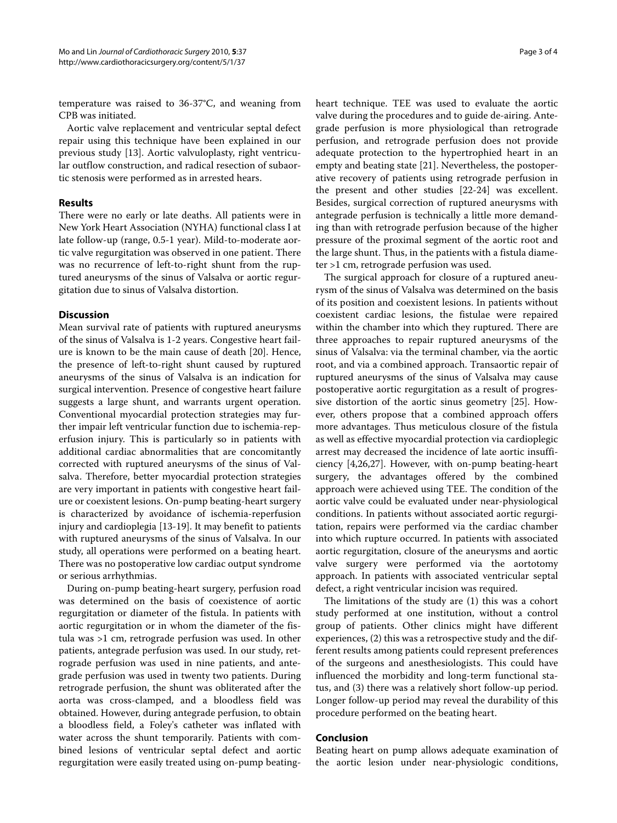temperature was raised to 36-37°C, and weaning from CPB was initiated.

Aortic valve replacement and ventricular septal defect repair using this technique have been explained in our previous study [[13\]](#page-3-2). Aortic valvuloplasty, right ventricular outflow construction, and radical resection of subaortic stenosis were performed as in arrested hears.

## **Results**

There were no early or late deaths. All patients were in New York Heart Association (NYHA) functional class I at late follow-up (range, 0.5-1 year). Mild-to-moderate aortic valve regurgitation was observed in one patient. There was no recurrence of left-to-right shunt from the ruptured aneurysms of the sinus of Valsalva or aortic regurgitation due to sinus of Valsalva distortion.

## **Discussion**

Mean survival rate of patients with ruptured aneurysms of the sinus of Valsalva is 1-2 years. Congestive heart failure is known to be the main cause of death [[20\]](#page-3-5). Hence, the presence of left-to-right shunt caused by ruptured aneurysms of the sinus of Valsalva is an indication for surgical intervention. Presence of congestive heart failure suggests a large shunt, and warrants urgent operation. Conventional myocardial protection strategies may further impair left ventricular function due to ischemia-reperfusion injury. This is particularly so in patients with additional cardiac abnormalities that are concomitantly corrected with ruptured aneurysms of the sinus of Valsalva. Therefore, better myocardial protection strategies are very important in patients with congestive heart failure or coexistent lesions. On-pump beating-heart surgery is characterized by avoidance of ischemia-reperfusion injury and cardioplegia [[13-](#page-3-2)[19\]](#page-3-4). It may benefit to patients with ruptured aneurysms of the sinus of Valsalva. In our study, all operations were performed on a beating heart. There was no postoperative low cardiac output syndrome or serious arrhythmias.

During on-pump beating-heart surgery, perfusion road was determined on the basis of coexistence of aortic regurgitation or diameter of the fistula. In patients with aortic regurgitation or in whom the diameter of the fistula was >1 cm, retrograde perfusion was used. In other patients, antegrade perfusion was used. In our study, retrograde perfusion was used in nine patients, and antegrade perfusion was used in twenty two patients. During retrograde perfusion, the shunt was obliterated after the aorta was cross-clamped, and a bloodless field was obtained. However, during antegrade perfusion, to obtain a bloodless field, a Foley's catheter was inflated with water across the shunt temporarily. Patients with combined lesions of ventricular septal defect and aortic regurgitation were easily treated using on-pump beatingheart technique. TEE was used to evaluate the aortic valve during the procedures and to guide de-airing. Antegrade perfusion is more physiological than retrograde perfusion, and retrograde perfusion does not provide adequate protection to the hypertrophied heart in an empty and beating state [\[21\]](#page-3-6). Nevertheless, the postoperative recovery of patients using retrograde perfusion in the present and other studies [[22](#page-3-7)-[24\]](#page-3-8) was excellent. Besides, surgical correction of ruptured aneurysms with antegrade perfusion is technically a little more demanding than with retrograde perfusion because of the higher pressure of the proximal segment of the aortic root and the large shunt. Thus, in the patients with a fistula diameter >1 cm, retrograde perfusion was used.

The surgical approach for closure of a ruptured aneurysm of the sinus of Valsalva was determined on the basis of its position and coexistent lesions. In patients without coexistent cardiac lesions, the fistulae were repaired within the chamber into which they ruptured. There are three approaches to repair ruptured aneurysms of the sinus of Valsalva: via the terminal chamber, via the aortic root, and via a combined approach. Transaortic repair of ruptured aneurysms of the sinus of Valsalva may cause postoperative aortic regurgitation as a result of progressive distortion of the aortic sinus geometry [\[25\]](#page-3-9). However, others propose that a combined approach offers more advantages. Thus meticulous closure of the fistula as well as effective myocardial protection via cardioplegic arrest may decreased the incidence of late aortic insufficiency [[4](#page-3-10)[,26](#page-3-11)[,27](#page-3-12)]. However, with on-pump beating-heart surgery, the advantages offered by the combined approach were achieved using TEE. The condition of the aortic valve could be evaluated under near-physiological conditions. In patients without associated aortic regurgitation, repairs were performed via the cardiac chamber into which rupture occurred. In patients with associated aortic regurgitation, closure of the aneurysms and aortic valve surgery were performed via the aortotomy approach. In patients with associated ventricular septal defect, a right ventricular incision was required.

The limitations of the study are (1) this was a cohort study performed at one institution, without a control group of patients. Other clinics might have different experiences, (2) this was a retrospective study and the different results among patients could represent preferences of the surgeons and anesthesiologists. This could have influenced the morbidity and long-term functional status, and (3) there was a relatively short follow-up period. Longer follow-up period may reveal the durability of this procedure performed on the beating heart.

## **Conclusion**

Beating heart on pump allows adequate examination of the aortic lesion under near-physiologic conditions,